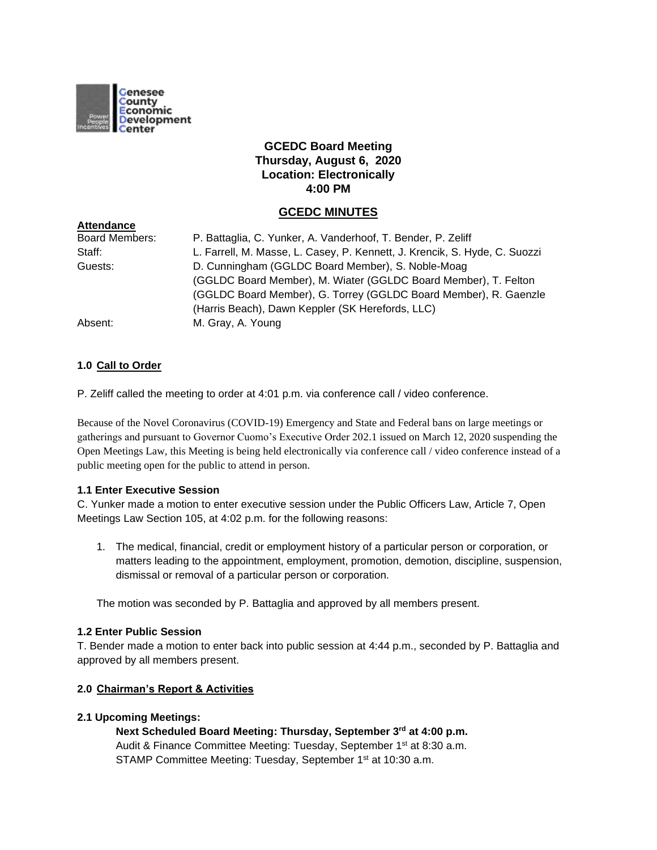

# **GCEDC Board Meeting Thursday, August 6, 2020 Location: Electronically 4:00 PM**

## **GCEDC MINUTES**

| <b>Attendance</b>     |                                                                            |
|-----------------------|----------------------------------------------------------------------------|
| <b>Board Members:</b> | P. Battaglia, C. Yunker, A. Vanderhoof, T. Bender, P. Zeliff               |
| Staff:                | L. Farrell, M. Masse, L. Casey, P. Kennett, J. Krencik, S. Hyde, C. Suozzi |
| Guests:               | D. Cunningham (GGLDC Board Member), S. Noble-Moag                          |
|                       | (GGLDC Board Member), M. Wiater (GGLDC Board Member), T. Felton            |
|                       | (GGLDC Board Member), G. Torrey (GGLDC Board Member), R. Gaenzle           |
|                       | (Harris Beach), Dawn Keppler (SK Herefords, LLC)                           |
| Absent:               | M. Gray, A. Young                                                          |

## **1.0 Call to Order**

P. Zeliff called the meeting to order at 4:01 p.m. via conference call / video conference.

Because of the Novel Coronavirus (COVID-19) Emergency and State and Federal bans on large meetings or gatherings and pursuant to Governor Cuomo's Executive Order 202.1 issued on March 12, 2020 suspending the Open Meetings Law, this Meeting is being held electronically via conference call / video conference instead of a public meeting open for the public to attend in person.

## **1.1 Enter Executive Session**

C. Yunker made a motion to enter executive session under the Public Officers Law, Article 7, Open Meetings Law Section 105, at 4:02 p.m. for the following reasons:

1. The medical, financial, credit or employment history of a particular person or corporation, or matters leading to the appointment, employment, promotion, demotion, discipline, suspension, dismissal or removal of a particular person or corporation.

The motion was seconded by P. Battaglia and approved by all members present.

## **1.2 Enter Public Session**

T. Bender made a motion to enter back into public session at 4:44 p.m., seconded by P. Battaglia and approved by all members present.

## **2.0 Chairman's Report & Activities**

#### **2.1 Upcoming Meetings:**

**Next Scheduled Board Meeting: Thursday, September 3rd at 4:00 p.m.** Audit & Finance Committee Meeting: Tuesday, September 1<sup>st</sup> at 8:30 a.m. STAMP Committee Meeting: Tuesday, September 1<sup>st</sup> at 10:30 a.m.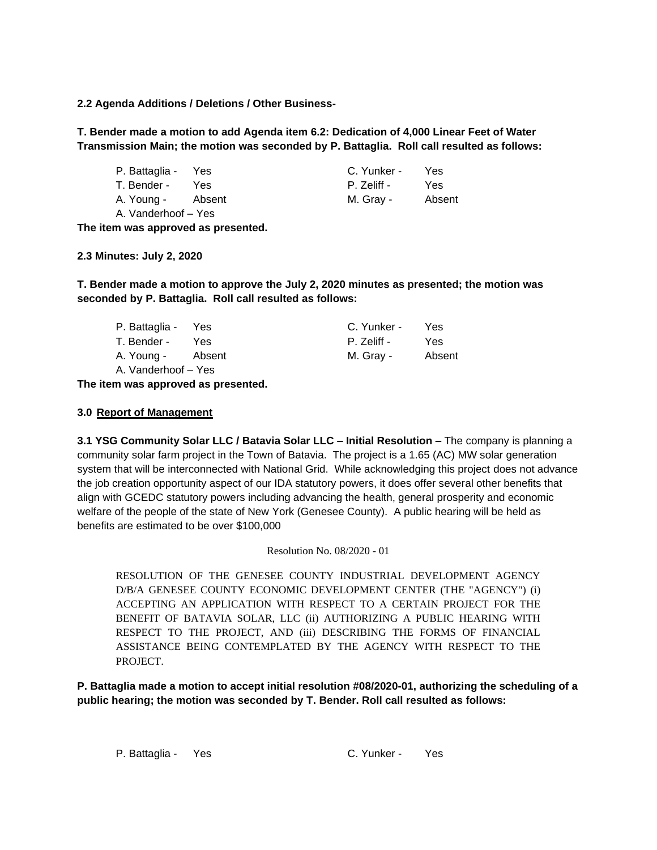**2.2 Agenda Additions / Deletions / Other Business-**

**T. Bender made a motion to add Agenda item 6.2: Dedication of 4,000 Linear Feet of Water Transmission Main; the motion was seconded by P. Battaglia. Roll call resulted as follows:**

| P. Battaglia - Yes |      | C. Yunker - | Yes    |
|--------------------|------|-------------|--------|
| T. Bender -        | Yes. | P. Zeliff - | Yes    |
| A. Young - Absent  |      | M. Gray -   | Absent |
| A Vanderhoof – Yes |      |             |        |

**The item was approved as presented.**

**2.3 Minutes: July 2, 2020**

**T. Bender made a motion to approve the July 2, 2020 minutes as presented; the motion was seconded by P. Battaglia. Roll call resulted as follows:**

| P. Battaglia - Yes  |        | C. Yunker - | Yes    |
|---------------------|--------|-------------|--------|
| T. Bender -         | Yes    | P. Zeliff - | Yes    |
| A. Young -          | Absent | M. Gray -   | Absent |
| A. Vanderhoof – Yes |        |             |        |

**The item was approved as presented.**

#### **3.0 Report of Management**

**3.1 YSG Community Solar LLC / Batavia Solar LLC – Initial Resolution –** The company is planning a community solar farm project in the Town of Batavia. The project is a 1.65 (AC) MW solar generation system that will be interconnected with National Grid. While acknowledging this project does not advance the job creation opportunity aspect of our IDA statutory powers, it does offer several other benefits that align with GCEDC statutory powers including advancing the health, general prosperity and economic welfare of the people of the state of New York (Genesee County). A public hearing will be held as benefits are estimated to be over \$100,000

Resolution No. 08/2020 - 01

RESOLUTION OF THE GENESEE COUNTY INDUSTRIAL DEVELOPMENT AGENCY D/B/A GENESEE COUNTY ECONOMIC DEVELOPMENT CENTER (THE "AGENCY") (i) ACCEPTING AN APPLICATION WITH RESPECT TO A CERTAIN PROJECT FOR THE BENEFIT OF BATAVIA SOLAR, LLC (ii) AUTHORIZING A PUBLIC HEARING WITH RESPECT TO THE PROJECT, AND (iii) DESCRIBING THE FORMS OF FINANCIAL ASSISTANCE BEING CONTEMPLATED BY THE AGENCY WITH RESPECT TO THE PROJECT.

**P. Battaglia made a motion to accept initial resolution #08/2020-01, authorizing the scheduling of a public hearing; the motion was seconded by T. Bender. Roll call resulted as follows:**

P. Battaglia - Yes C. Yunker - Yes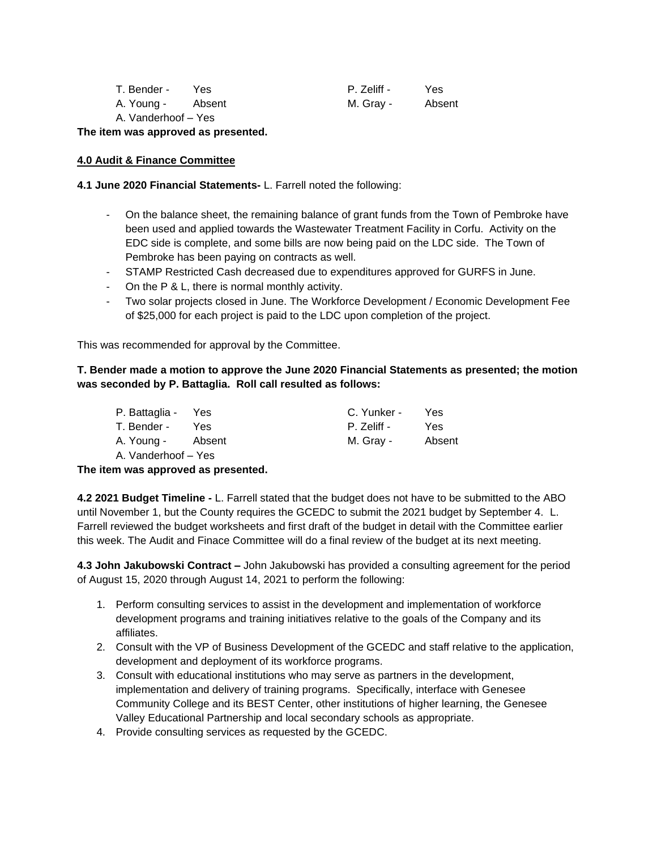| T. Bender -                 | Yes    | P. Zeliff - | Yes    |
|-----------------------------|--------|-------------|--------|
| A. Young -                  | Absent | M. Gray -   | Absent |
| A Medical Control of Albert |        |             |        |

A. Vanderhoof – Yes

**The item was approved as presented.**

#### **4.0 Audit & Finance Committee**

**4.1 June 2020 Financial Statements-** L. Farrell noted the following:

- On the balance sheet, the remaining balance of grant funds from the Town of Pembroke have been used and applied towards the Wastewater Treatment Facility in Corfu. Activity on the EDC side is complete, and some bills are now being paid on the LDC side. The Town of Pembroke has been paying on contracts as well.
- STAMP Restricted Cash decreased due to expenditures approved for GURFS in June.
- On the P & L, there is normal monthly activity.
- Two solar projects closed in June. The Workforce Development / Economic Development Fee of \$25,000 for each project is paid to the LDC upon completion of the project.

This was recommended for approval by the Committee.

## **T. Bender made a motion to approve the June 2020 Financial Statements as presented; the motion was seconded by P. Battaglia. Roll call resulted as follows:**

| P. Battaglia - Yes  |        | C. Yunker - | Yes    |
|---------------------|--------|-------------|--------|
| T. Bender -         | Yes.   | P. Zeliff - | Yes    |
| A. Young -          | Absent | M. Gray -   | Absent |
| A. Vanderhoof – Yes |        |             |        |

## **The item was approved as presented.**

**4.2 2021 Budget Timeline -** L. Farrell stated that the budget does not have to be submitted to the ABO until November 1, but the County requires the GCEDC to submit the 2021 budget by September 4. L. Farrell reviewed the budget worksheets and first draft of the budget in detail with the Committee earlier this week. The Audit and Finace Committee will do a final review of the budget at its next meeting.

**4.3 John Jakubowski Contract –** John Jakubowski has provided a consulting agreement for the period of August 15, 2020 through August 14, 2021 to perform the following:

- 1. Perform consulting services to assist in the development and implementation of workforce development programs and training initiatives relative to the goals of the Company and its affiliates.
- 2. Consult with the VP of Business Development of the GCEDC and staff relative to the application, development and deployment of its workforce programs.
- 3. Consult with educational institutions who may serve as partners in the development, implementation and delivery of training programs. Specifically, interface with Genesee Community College and its BEST Center, other institutions of higher learning, the Genesee Valley Educational Partnership and local secondary schools as appropriate.
- 4. Provide consulting services as requested by the GCEDC.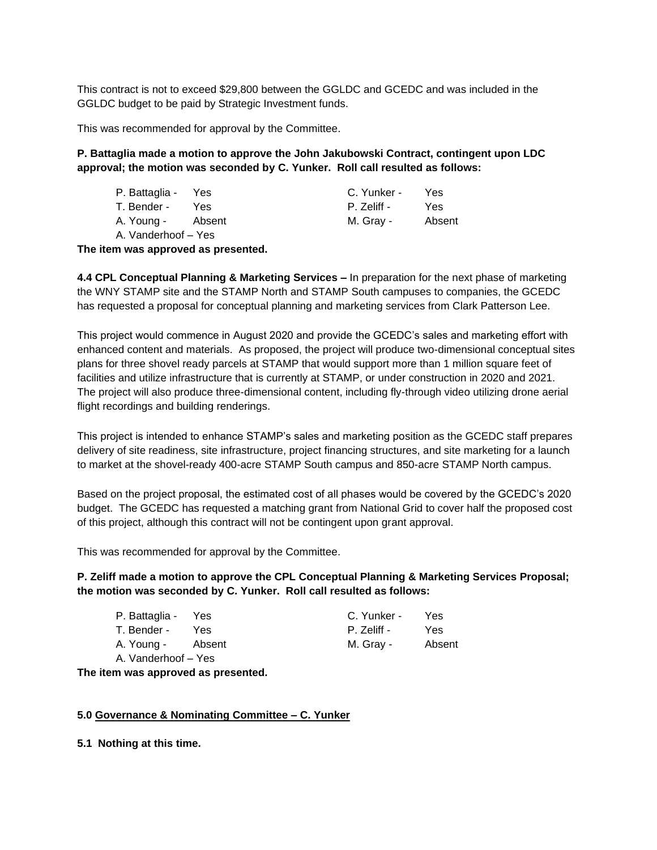This contract is not to exceed \$29,800 between the GGLDC and GCEDC and was included in the GGLDC budget to be paid by Strategic Investment funds.

This was recommended for approval by the Committee.

## **P. Battaglia made a motion to approve the John Jakubowski Contract, contingent upon LDC approval; the motion was seconded by C. Yunker. Roll call resulted as follows:**

| P. Battaglia - Yes  |      | C. Yunker - | Yes    |
|---------------------|------|-------------|--------|
| T. Bender -         | Yes. | P. Zeliff - | Yes    |
| A. Young - Absent   |      | M. Gray -   | Absent |
| A. Vanderhoof – Yes |      |             |        |

**The item was approved as presented.**

**4.4 CPL Conceptual Planning & Marketing Services –** In preparation for the next phase of marketing the WNY STAMP site and the STAMP North and STAMP South campuses to companies, the GCEDC has requested a proposal for conceptual planning and marketing services from Clark Patterson Lee.

This project would commence in August 2020 and provide the GCEDC's sales and marketing effort with enhanced content and materials. As proposed, the project will produce two-dimensional conceptual sites plans for three shovel ready parcels at STAMP that would support more than 1 million square feet of facilities and utilize infrastructure that is currently at STAMP, or under construction in 2020 and 2021. The project will also produce three-dimensional content, including fly-through video utilizing drone aerial flight recordings and building renderings.

This project is intended to enhance STAMP's sales and marketing position as the GCEDC staff prepares delivery of site readiness, site infrastructure, project financing structures, and site marketing for a launch to market at the shovel-ready 400-acre STAMP South campus and 850-acre STAMP North campus.

Based on the project proposal, the estimated cost of all phases would be covered by the GCEDC's 2020 budget. The GCEDC has requested a matching grant from National Grid to cover half the proposed cost of this project, although this contract will not be contingent upon grant approval.

This was recommended for approval by the Committee.

## **P. Zeliff made a motion to approve the CPL Conceptual Planning & Marketing Services Proposal; the motion was seconded by C. Yunker. Roll call resulted as follows:**

| P. Battaglia - Yes  |      | C. Yunker - | Yes    |
|---------------------|------|-------------|--------|
| T. Bender -         | Yes. | P. Zeliff - | Yes.   |
| A. Young - Absent   |      | M. Gray -   | Absent |
| A. Vanderhoof - Yes |      |             |        |

**The item was approved as presented.**

## **5.0 Governance & Nominating Committee – C. Yunker**

**5.1 Nothing at this time.**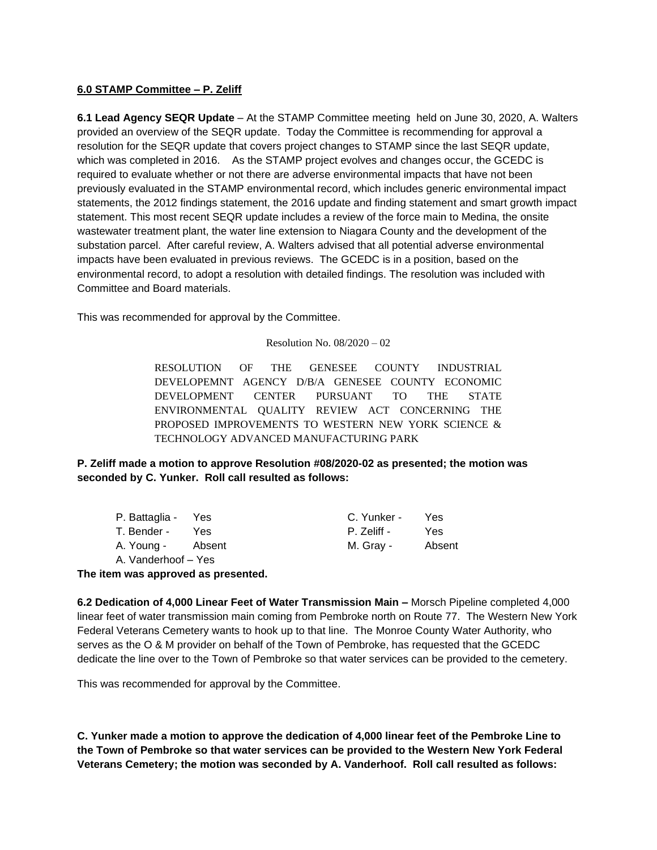#### **6.0 STAMP Committee – P. Zeliff**

**6.1 Lead Agency SEQR Update** – At the STAMP Committee meeting held on June 30, 2020, A. Walters provided an overview of the SEQR update. Today the Committee is recommending for approval a resolution for the SEQR update that covers project changes to STAMP since the last SEQR update, which was completed in 2016. As the STAMP project evolves and changes occur, the GCEDC is required to evaluate whether or not there are adverse environmental impacts that have not been previously evaluated in the STAMP environmental record, which includes generic environmental impact statements, the 2012 findings statement, the 2016 update and finding statement and smart growth impact statement. This most recent SEQR update includes a review of the force main to Medina, the onsite wastewater treatment plant, the water line extension to Niagara County and the development of the substation parcel. After careful review, A. Walters advised that all potential adverse environmental impacts have been evaluated in previous reviews. The GCEDC is in a position, based on the environmental record, to adopt a resolution with detailed findings. The resolution was included with Committee and Board materials.

This was recommended for approval by the Committee.

Resolution No. 08/2020 – 02

RESOLUTION OF THE GENESEE COUNTY INDUSTRIAL DEVELOPEMNT AGENCY D/B/A GENESEE COUNTY ECONOMIC DEVELOPMENT CENTER PURSUANT TO THE STATE ENVIRONMENTAL QUALITY REVIEW ACT CONCERNING THE PROPOSED IMPROVEMENTS TO WESTERN NEW YORK SCIENCE & TECHNOLOGY ADVANCED MANUFACTURING PARK

**P. Zeliff made a motion to approve Resolution #08/2020-02 as presented; the motion was seconded by C. Yunker. Roll call resulted as follows:**

| P. Battaglia - Yes  |      | C. Yunker - | Yes    |
|---------------------|------|-------------|--------|
| T. Bender -         | Yes. | P. Zeliff - | Yes    |
| A. Young - Absent   |      | M. Gray -   | Absent |
| A. Vanderhoof – Yes |      |             |        |

**The item was approved as presented.**

**6.2 Dedication of 4,000 Linear Feet of Water Transmission Main –** Morsch Pipeline completed 4,000 linear feet of water transmission main coming from Pembroke north on Route 77. The Western New York Federal Veterans Cemetery wants to hook up to that line. The Monroe County Water Authority, who serves as the O & M provider on behalf of the Town of Pembroke, has requested that the GCEDC dedicate the line over to the Town of Pembroke so that water services can be provided to the cemetery.

This was recommended for approval by the Committee.

**C. Yunker made a motion to approve the dedication of 4,000 linear feet of the Pembroke Line to the Town of Pembroke so that water services can be provided to the Western New York Federal Veterans Cemetery; the motion was seconded by A. Vanderhoof. Roll call resulted as follows:**